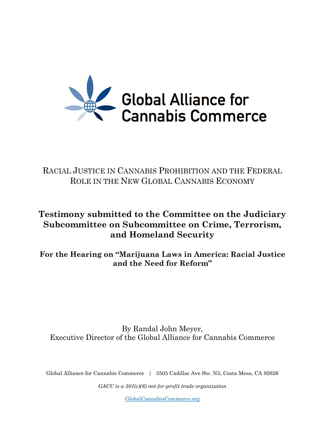

## RACIAL JUSTICE IN CANNABIS PROHIBITION AND THE FEDERAL ROLE IN THE NEW GLOBAL CANNABIS ECONOMY

## **Testimony submitted to the Committee on the Judiciary Subcommittee on Subcommittee on Crime, Terrorism, and Homeland Security**

**For the Hearing on "Marijuana Laws in America: Racial Justice and the Need for Reform"**

By Randal John Meyer, Executive Director of the Global Alliance for Cannabis Commerce

Global Alliance for Cannabis Commerce | 3505 Cadillac Ave Ste. N3, Costa Mesa, CA 92626

*GACC is a 501(c)(6) not-for-profit trade organization*

[GlobalCannabisCommerce.org](http://globalcannabiscommerce.org/)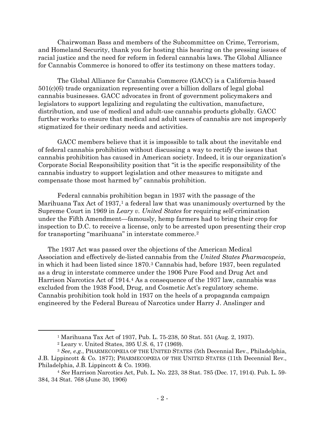Chairwoman Bass and members of the Subcommittee on Crime, Terrorism, and Homeland Security, thank you for hosting this hearing on the pressing issues of racial justice and the need for reform in federal cannabis laws. The Global Alliance for Cannabis Commerce is honored to offer its testimony on these matters today.

The Global Alliance for Cannabis Commerce (GACC) is a California-based 501(c)(6) trade organization representing over a billion dollars of legal global cannabis businesses. GACC advocates in front of government policymakers and legislators to support legalizing and regulating the cultivation, manufacture, distribution, and use of medical and adult-use cannabis products globally. GACC further works to ensure that medical and adult users of cannabis are not improperly stigmatized for their ordinary needs and activities.

GACC members believe that it is impossible to talk about the inevitable end of federal cannabis prohibition without discussing a way to rectify the issues that cannabis prohibition has caused in American society. Indeed, it is our organization's Corporate Social Responsibility position that "it is the specific responsibility of the cannabis industry to support legislation and other measures to mitigate and compensate those most harmed by" cannabis prohibition.

Federal cannabis prohibition began in 1937 with the passage of the Marihuana Tax Act of  $1937<sup>1</sup>$  $1937<sup>1</sup>$  a federal law that was unanimously overturned by the Supreme Court in 1969 in *Leary v. United States* for requiring self-crimination under the Fifth Amendment—famously, hemp farmers had to bring their crop for inspection to D.C. to receive a license, only to be arrested upon presenting their crop for transporting "marihuana" in interstate commerce.[2](#page-1-1)

The 1937 Act was passed over the objections of the American Medical Association and effectively de-listed cannabis from the *United States Pharmacopeia*, in which it had been listed since 1870.[3](#page-1-2) Cannabis had, before 1937, been regulated as a drug in interstate commerce under the 1906 Pure Food and Drug Act and Harrison Narcotics Act of 191[4](#page-1-3).<sup>4</sup> As a consequence of the 1937 law, cannabis was excluded from the 1938 Food, Drug, and Cosmetic Act's regulatory scheme. Cannabis prohibition took hold in 1937 on the heels of a propaganda campaign engineered by the Federal Bureau of Narcotics under Harry J. Anslinger and

<sup>1</sup> Marihuana Tax Act of 1937, Pub. L. 75-238, 50 Stat. 551 (Aug. 2, 1937).

<sup>2</sup> Leary v. United States, 395 U.S. 6, 17 (1969).

<span id="page-1-2"></span><span id="page-1-1"></span><span id="page-1-0"></span><sup>3</sup> *See, e.g.*, PHARMECOPŒIA OF THE UNITED STATES (5th Decennial Rev., Philadelphia, J.B. Lippincott & Co. 1877); PHARMECOPŒIA OF THE UNITED STATES (11th Decennial Rev., Philadelphia, J.B. Lippincott & Co. 1936).

<span id="page-1-3"></span><sup>4</sup> *See* Harrison Narcotics Act, Pub. L. No. 223, 38 Stat. 785 (Dec. 17, 1914). Pub. L. 59- 384, 34 Stat. 768 (June 30, 1906)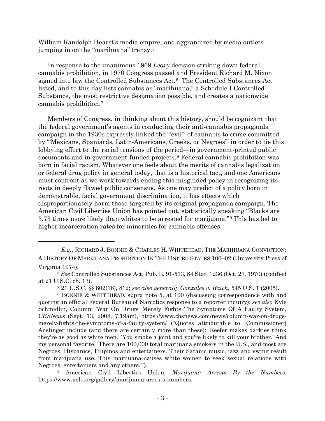<span id="page-2-0"></span>William Randolph Hearst's media empire, and aggrandized by media outlets jumping in on the "marihuana" frenzy.[5](#page-2-1)

In response to the unanimous 1969 *Leary* decision striking down federal cannabis prohibition, in 1970 Congress passed and President Richard M. Nixon signed into law the Controlled Substances Act.[6](#page-2-2) The Controlled Substances Act listed, and to this day lists cannabis as "marihuana," a Schedule I Controlled Substance, the most restrictive designation possible, and creates a nationwide cannabis prohibition.[7](#page-2-3)

Members of Congress, in thinking about this history, should be cognizant that the federal government's agents in conducting their anti-cannabis propaganda campaign in the 1930s expressly linked the "'evil'" of cannabis to crime committed by "'Mexicans, Spaniards, Latin-Americans, Greeks, or Negroes'" in order to tie this lobbying effort to the racial tensions of the period—in government-printed public documents and in government-funded projects.[8](#page-2-4) Federal cannabis prohibition was born in facial racism. Whatever one feels about the merits of cannabis legalization or federal drug policy in general today, that is a historical fact, and one Americans must confront as we work towards ending this misguided policy in recognizing its roots in deeply flawed public consensus. As one may predict of a policy born in demonstrable, facial government discrimination, it has effects which disproportionately harm those targeted by its original propaganda campaign. The American Civil Liberties Union has pointed out, statistically speaking "Blacks are 3.73 times more likely than whites to be arrested for marijuana."[9](#page-2-5) This has led to higher incarceration rates for minorities for cannabis offenses.

<span id="page-2-1"></span><sup>5</sup> *E.g.*, RICHARD J. BONNIE & CHARLES H. WHITEHEAD, THE MARIHUANA CONVICTION: A HISTORY OF MARIJUANA PROHIBITION IN THE UNITED STATES 100–02 (University Press of Virginia 1974).

<span id="page-2-2"></span><sup>6</sup> *See* Controlled Substances Act, Pub. L. 91-513, 84 Stat. 1236 (Oct. 27, 1970) (codified at 21 U.S.C. ch. 13).

<sup>7</sup> 21 U.S.C. §§ 802(16), 812; *see also generally Gonzales v. Raich*, 545 U.S. 1 (2005).

<span id="page-2-4"></span><span id="page-2-3"></span><sup>8</sup> BONNIE & WHITEHEAD, supra note [5,](#page-2-0) at 100 (discussing correspondence with and quoting an official Federal Bureau of Narcotics response to a reporter inquiry); *see also* Kyle Schmidlin, Column: 'War On Drugs' Merely Fights The Symptoms Of A Faulty System, *CBSNews* (Sept. 13, 2008, 7:19am), https://www.cbsnews.com/news/column-war-on-drugsmerely-fights-the-symptoms-of-a-faulty-system/ ("Quotes attributable to [Commissioner] Anslinger include (and there are certainly more than these): 'Reefer makes darkies think they're as good as white men.' 'You smoke a joint and you're likely to kill your brother.' And my personal favorite, 'There are 100,000 total marijuana smokers in the U.S., and most are Negroes, Hispanics, Filipinos and entertainers. Their Satanic music, jazz and swing result from marijuana use. This marijuana causes white women to seek sexual relations with Negroes, entertainers and any others.'").

<span id="page-2-5"></span><sup>9</sup> American Civil Liberties Union, *Marijuana Arrests By the Numbers*, https://www.aclu.org/gallery/marijuana-arrests-numbers.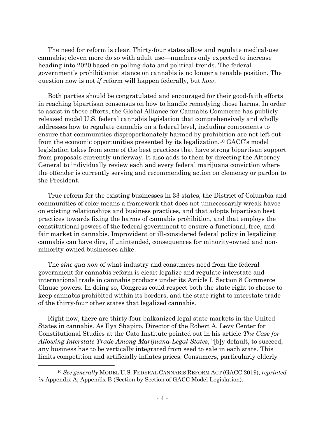The need for reform is clear. Thirty-four states allow and regulate medical-use cannabis; eleven more do so with adult use—numbers only expected to increase heading into 2020 based on polling data and political trends. The federal government's prohibitionist stance on cannabis is no longer a tenable position. The question now is not *if* reform will happen federally, but *how*.

Both parties should be congratulated and encouraged for their good-faith efforts in reaching bipartisan consensus on how to handle remedying those harms. In order to assist in those efforts, the Global Alliance for Cannabis Commerce has publicly released model U.S. federal cannabis legislation that comprehensively and wholly addresses how to regulate cannabis on a federal level, including components to ensure that communities disproportionately harmed by prohibition are not left out from the economic opportunities presented by its legalization.[10](#page-3-0) GACC's model legislation takes from some of the best practices that have strong bipartisan support from proposals currently underway. It also adds to them by directing the Attorney General to individually review each and every federal marijuana conviction where the offender is currently serving and recommending action on clemency or pardon to the President.

True reform for the existing businesses in 33 states, the District of Columbia and communities of color means a framework that does not unnecessarily wreak havoc on existing relationships and business practices, and that adopts bipartisan best practices towards fixing the harms of cannabis prohibition, and that employs the constitutional powers of the federal government to ensure a functional, free, and fair market in cannabis. Improvident or ill-considered federal policy in legalizing cannabis can have dire, if unintended, consequences for minority-owned and nonminority-owned businesses alike.

The *sine qua non* of what industry and consumers need from the federal government for cannabis reform is clear: legalize and regulate interstate and international trade in cannabis products under its Article I, Section 8 Commerce Clause powers. In doing so, Congress could respect both the state right to choose to keep cannabis prohibited within its borders, and the state right to interstate trade of the thirty-four other states that legalized cannabis.

Right now, there are thirty-four balkanized legal state markets in the United States in cannabis. As Ilya Shapiro, Director of the Robert A. Levy Center for Constitutional Studies at the Cato Institute pointed out in his article *The Case for Allowing Interstate Trade Among Marijuana-Legal States*, "[b]y default, to succeed, any business has to be vertically integrated from seed to sale in each state. This limits competition and artificially inflates prices. Consumers, particularly elderly

<span id="page-3-0"></span><sup>10</sup> *See generally* MODEL U.S. FEDERAL CANNABIS REFORM ACT (GACC 2019), *reprinted in* Appendix A; Appendix B (Section by Section of GACC Model Legislation).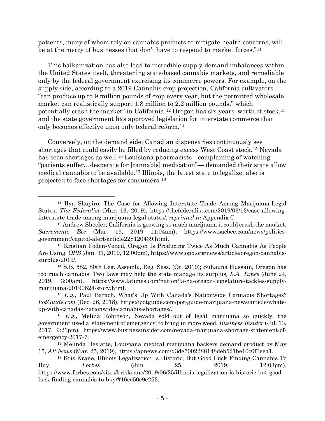patients, many of whom rely on cannabis products to mitigate health concerns, will be at the mercy of businesses that don't have to respond to market forces."[11](#page-4-0)

This balkanization has also lead to incredible supply-demand imbalances within the United States itself, threatening state-based cannabis markets, and remediable only by the federal government exercising its commerce powers. For example, on the supply side, according to a 2019 Cannabis crop projection, California cultivators "can produce up to 9 million pounds of crop every year, but the permitted wholesale market can realistically support 1.8 million to 2.2 million pounds," which potentially crash the market" in California.[12](#page-4-1) Oregon has six-years' worth of stock,[13](#page-4-2) and the state government has approved legislation for interstate commerce that only becomes effective upon only federal reform.[14](#page-4-3)

Conversely, on the demand side, Canadian dispensaries continuously see shortages that could easily be filled by reducing excess West Coast stock.[15](#page-4-4) Nevada has seen shortages as well.<sup>[16](#page-4-5)</sup> Louisiana pharmacists—complaining of watching "patients suffer…desperate for [cannabis] medication"— demanded their state allow medical cannabis to be available.[17](#page-4-6) Illinois, the latest state to legalize, also is projected to face shortages for consumers.[18](#page-4-7)

<span id="page-4-0"></span><sup>11</sup> Ilya Shapiro, The Case for Allowing Interstate Trade Among Marijuana-Legal States, *The Federalist* (Mar. 13, 2019), https://thefederalist.com/2019/03/13/case-allowinginterstate-trade-among-marijuana-legal-states/, *reprinted in* Appendix C

<span id="page-4-1"></span><sup>12</sup> Andrew Sheeler, California is growing so much marijuana it could crash the market, *Sacremento Bee* (Mar. 19, 2019 11:04am), https://www.sacbee.com/news/politicsgovernment/capitol-alert/article228120439.html.

<span id="page-4-2"></span><sup>13</sup> Kristian Foden-Vencil, Oregon Is Producing Twice As Much Cannabis As People Are Using, *OPB* (Jan. 31, 2019, 12:00pm), https://www.opb.org/news/article/oregon-cannabissurplus-2019/.

<span id="page-4-3"></span><sup>14</sup> S.B. 582, 80th Leg. Assemb., Reg. Sess. (Or. 2019); Suhauna Hussain, Oregon has too much cannabis. Two laws may help the state manage its surplus*, L.A. Times* (June 24, 2019, 3:00am), https://www.latimes.com/nation/la-na-oregon-legislature-tackles-supplymarijuana-20190624-story.html.

<span id="page-4-4"></span><sup>15</sup> *E.g.*, Paul Barach, What's Up With Canada's Nationwide Cannabis Shortages? *PotGuide.com* (Dec. 26, 2018), https://potguide.com/pot-guide-marijuana-news/article/whatsup-with-canadas-nationwide-cannabis-shortages/.

<span id="page-4-5"></span><sup>16</sup> *E.g.*, Melina Robinson, Nevada sold out of legal marijuana so quickly, the government used a 'statement of emergency' to bring in more weed, *Business Insider* (Jul. 13, 2017, 9:21pm), https://www.businessinsider.com/nevada-marijuana-shortage-statement-ofemergency-2017-7.

<span id="page-4-6"></span><sup>17</sup> Melinda Deslatte, Louisiana medical marijuana backers demand product by May 15, *AP News* (Mar. 25, 2019), https://apnews.com/d3de7002288148deb521be10c0f3eea1.

<span id="page-4-7"></span><sup>18</sup> Kris Krane, Illinois Legalization Is Historic, But Good Luck Finding Cannabis To Buy, *Forbes* (Jun 25, 2019, 12:03pm), https://www.forbes.com/sites/kriskrane/2019/06/25/illinois-legalization-is-historic-but-goodluck-finding-cannabis-to-buy/#16ce50c9e253.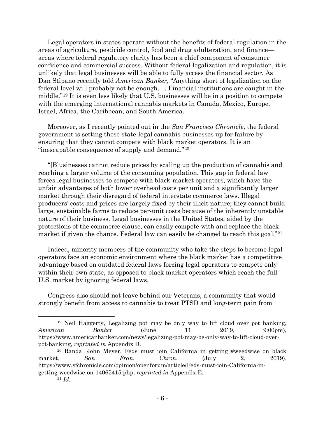Legal operators in states operate without the benefits of federal regulation in the areas of agriculture, pesticide control, food and drug adulteration, and finance areas where federal regulatory clarity has been a chief component of consumer confidence and commercial success. Without federal legalization and regulation, it is unlikely that legal businesses will be able to fully access the financial sector. As Dan Stipano recently told *American Banker*, "Anything short of legalization on the federal level will probably not be enough. ... Financial institutions are caught in the middle."[19](#page-5-0) It is even less likely that U.S. businesses will be in a position to compete with the emerging international cannabis markets in Canada, Mexico, Europe, Israel, Africa, the Caribbean, and South America.

Moreover, as I recently pointed out in the *San Francisco Chronicle*, the federal government is setting these state-legal cannabis businesses up for failure by ensuring that they cannot compete with black market operators. It is an "inescapable consequence of supply and demand."[20](#page-5-1)

"[B]usinesses cannot reduce prices by scaling up the production of cannabis and reaching a larger volume of the consuming population. This gap in federal law forces legal businesses to compete with black-market operators, which have the unfair advantages of both lower overhead costs per unit and a significantly larger market through their disregard of federal interstate commerce laws. Illegal producers' costs and prices are largely fixed by their illicit nature; they cannot build large, sustainable farms to reduce per-unit costs because of the inherently unstable nature of their business. Legal businesses in the United States, aided by the protections of the commerce clause, can easily compete with and replace the black market if given the chance. Federal law can easily be changed to reach this goal."<sup>[21](#page-5-2)</sup>

Indeed, minority members of the community who take the steps to become legal operators face an economic environment where the black market has a competitive advantage based on outdated federal laws forcing legal operators to compete only within their own state, as opposed to black market operators which reach the full U.S. market by ignoring federal laws.

Congress also should not leave behind our Veterans, a community that would strongly benefit from access to cannabis to treat PTSD and long-term pain from

<span id="page-5-0"></span><sup>19</sup> Neil Haggerty, Legalizing pot may be only way to lift cloud over pot banking, *American Banker* (June 11 2019, 9:00pm), https://www.americanbanker.com/news/legalizing-pot-may-be-only-way-to-lift-cloud-overpot-banking, *reprinted in* Appendix D.

<span id="page-5-2"></span><span id="page-5-1"></span><sup>20</sup> Randal John Meyer, Feds must join California in getting #weedwise on black market, *San Fran. Chron.* (July 2, 2019), https://www.sfchronicle.com/opinion/openforum/article/Feds-must-join-California-ingetting-weedwise-on-14065415.php, *reprinted in* Appendix E.

<sup>21</sup> *Id.*